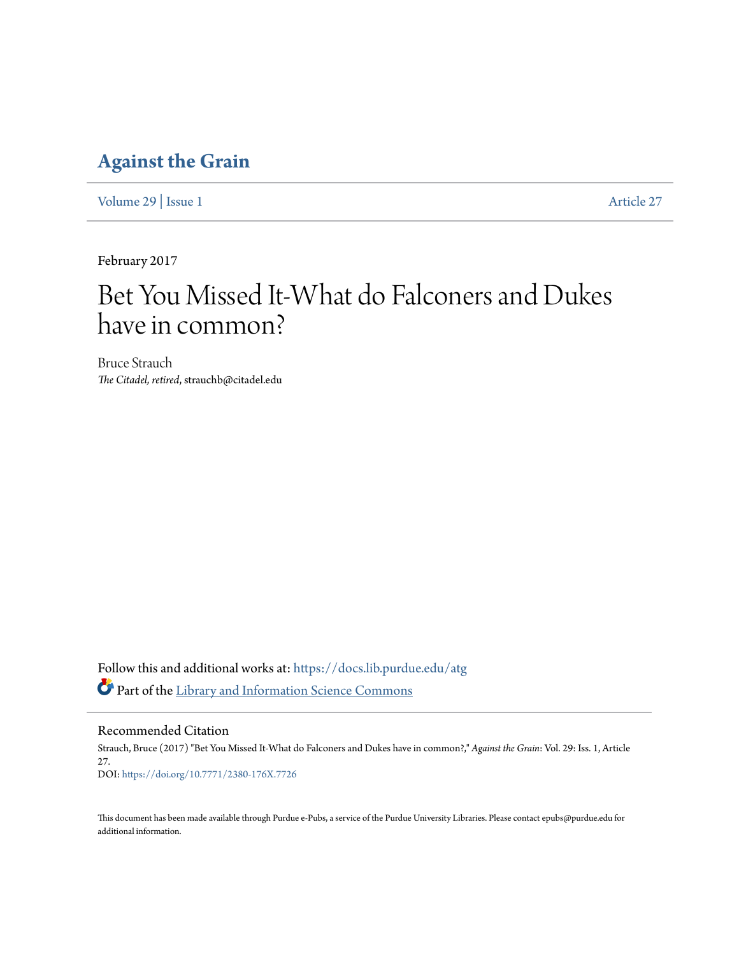### **[Against the Grain](https://docs.lib.purdue.edu/atg?utm_source=docs.lib.purdue.edu%2Fatg%2Fvol29%2Fiss1%2F27&utm_medium=PDF&utm_campaign=PDFCoverPages)**

[Volume 29](https://docs.lib.purdue.edu/atg/vol29?utm_source=docs.lib.purdue.edu%2Fatg%2Fvol29%2Fiss1%2F27&utm_medium=PDF&utm_campaign=PDFCoverPages) | [Issue 1](https://docs.lib.purdue.edu/atg/vol29/iss1?utm_source=docs.lib.purdue.edu%2Fatg%2Fvol29%2Fiss1%2F27&utm_medium=PDF&utm_campaign=PDFCoverPages) [Article 27](https://docs.lib.purdue.edu/atg/vol29/iss1/27?utm_source=docs.lib.purdue.edu%2Fatg%2Fvol29%2Fiss1%2F27&utm_medium=PDF&utm_campaign=PDFCoverPages)

February 2017

# Bet You Missed It-What do Falconers and Dukes have in common?

Bruce Strauch *The Citadel, retired*, strauchb@citadel.edu

Follow this and additional works at: [https://docs.lib.purdue.edu/atg](https://docs.lib.purdue.edu/atg?utm_source=docs.lib.purdue.edu%2Fatg%2Fvol29%2Fiss1%2F27&utm_medium=PDF&utm_campaign=PDFCoverPages) Part of the [Library and Information Science Commons](http://network.bepress.com/hgg/discipline/1018?utm_source=docs.lib.purdue.edu%2Fatg%2Fvol29%2Fiss1%2F27&utm_medium=PDF&utm_campaign=PDFCoverPages)

Recommended Citation

Strauch, Bruce (2017) "Bet You Missed It-What do Falconers and Dukes have in common?," *Against the Grain*: Vol. 29: Iss. 1, Article 27. DOI: <https://doi.org/10.7771/2380-176X.7726>

This document has been made available through Purdue e-Pubs, a service of the Purdue University Libraries. Please contact epubs@purdue.edu for additional information.